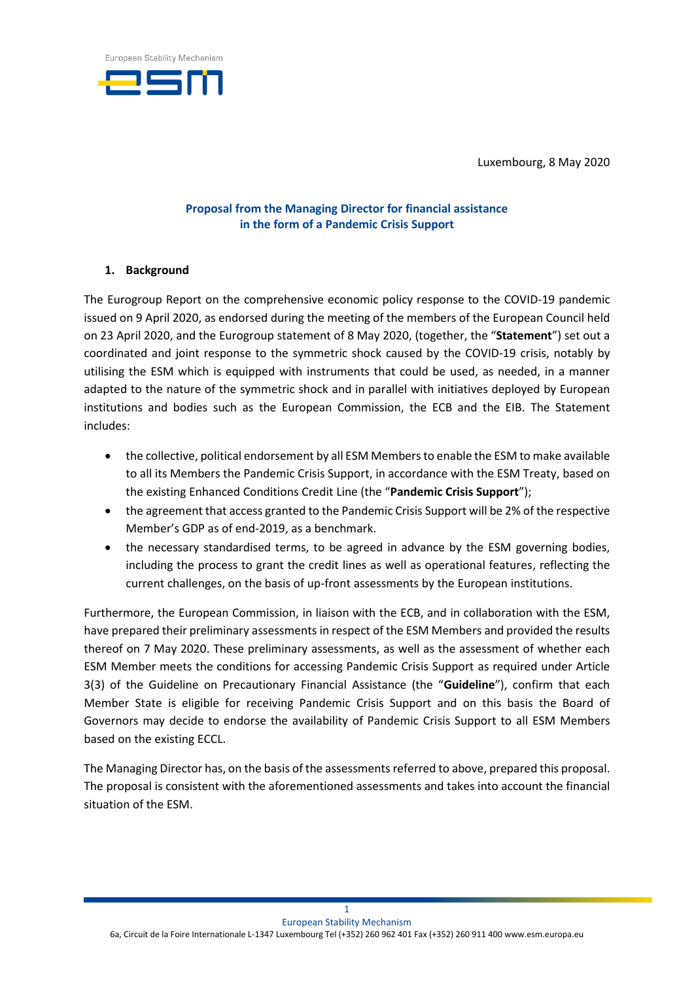

Luxembourg, 8 May 2020

## **Proposal from the Managing Director for financial assistance in the form of a Pandemic Crisis Support**

## **1. Background**

The Eurogroup Report on the comprehensive economic policy response to the COVID-19 pandemic issued on 9 April 2020, as endorsed during the meeting of the members of the European Council held on 23 April 2020, and the Eurogroup statement of 8 May 2020, (together, the "**Statement**") set out a coordinated and joint response to the symmetric shock caused by the COVID-19 crisis, notably by utilising the ESM which is equipped with instruments that could be used, as needed, in a manner adapted to the nature of the symmetric shock and in parallel with initiatives deployed by European institutions and bodies such as the European Commission, the ECB and the EIB. The Statement includes:

- the collective, political endorsement by all ESM Members to enable the ESM to make available to all its Members the Pandemic Crisis Support, in accordance with the ESM Treaty, based on the existing Enhanced Conditions Credit Line (the "**Pandemic Crisis Support**");
- the agreement that access granted to the Pandemic Crisis Support will be 2% of the respective Member's GDP as of end-2019, as a benchmark.
- the necessary standardised terms, to be agreed in advance by the ESM governing bodies, including the process to grant the credit lines as well as operational features, reflecting the current challenges, on the basis of up-front assessments by the European institutions.

Furthermore, the European Commission, in liaison with the ECB, and in collaboration with the ESM, have prepared their preliminary assessments in respect of the ESM Members and provided the results thereof on 7 May 2020. These preliminary assessments, as well as the assessment of whether each ESM Member meets the conditions for accessing Pandemic Crisis Support as required under Article 3(3) of the Guideline on Precautionary Financial Assistance (the "**Guideline**"), confirm that each Member State is eligible for receiving Pandemic Crisis Support and on this basis the Board of Governors may decide to endorse the availability of Pandemic Crisis Support to all ESM Members based on the existing ECCL.

The Managing Director has, on the basis of the assessments referred to above, prepared this proposal. The proposal is consistent with the aforementioned assessments and takes into account the financial situation of the ESM.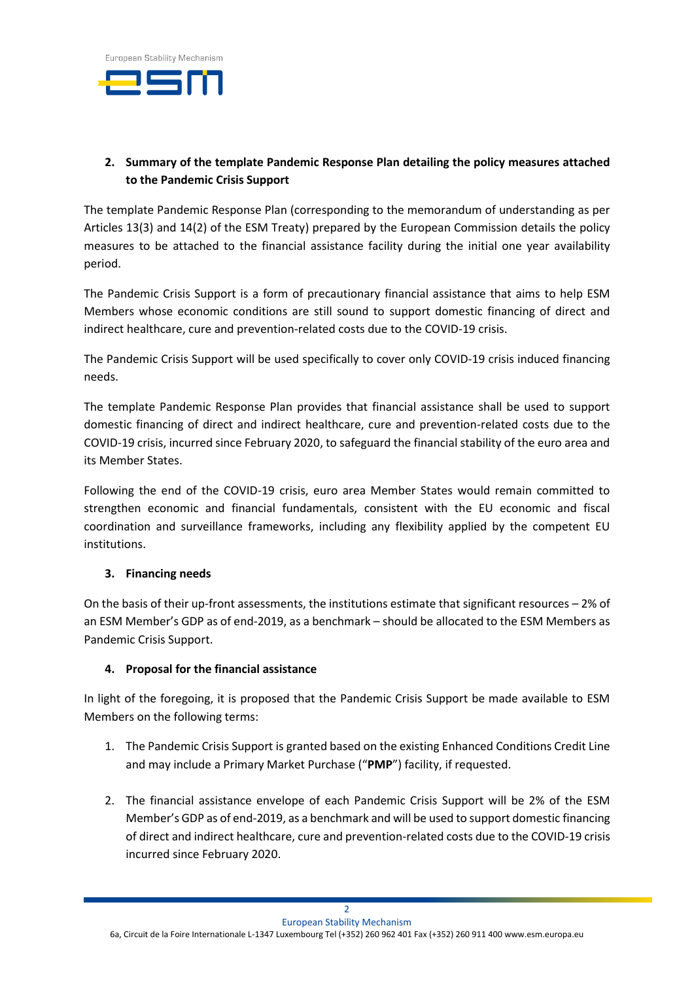

# **2. Summary of the template Pandemic Response Plan detailing the policy measures attached to the Pandemic Crisis Support**

The template Pandemic Response Plan (corresponding to the memorandum of understanding as per Articles 13(3) and 14(2) of the ESM Treaty) prepared by the European Commission details the policy measures to be attached to the financial assistance facility during the initial one year availability period.

The Pandemic Crisis Support is a form of precautionary financial assistance that aims to help ESM Members whose economic conditions are still sound to support domestic financing of direct and indirect healthcare, cure and prevention-related costs due to the COVID-19 crisis.

The Pandemic Crisis Support will be used specifically to cover only COVID-19 crisis induced financing needs.

The template Pandemic Response Plan provides that financial assistance shall be used to support domestic financing of direct and indirect healthcare, cure and prevention-related costs due to the COVID-19 crisis, incurred since February 2020, to safeguard the financial stability of the euro area and its Member States.

Following the end of the COVID-19 crisis, euro area Member States would remain committed to strengthen economic and financial fundamentals, consistent with the EU economic and fiscal coordination and surveillance frameworks, including any flexibility applied by the competent EU institutions.

## **3. Financing needs**

On the basis of their up-front assessments, the institutions estimate that significant resources – 2% of an ESM Member's GDP as of end-2019, as a benchmark – should be allocated to the ESM Members as Pandemic Crisis Support.

## **4. Proposal for the financial assistance**

In light of the foregoing, it is proposed that the Pandemic Crisis Support be made available to ESM Members on the following terms:

- 1. The Pandemic Crisis Support is granted based on the existing Enhanced Conditions Credit Line and may include a Primary Market Purchase ("**PMP**") facility, if requested.
- 2. The financial assistance envelope of each Pandemic Crisis Support will be 2% of the ESM Member's GDP as of end-2019, as a benchmark and will be used to support domestic financing of direct and indirect healthcare, cure and prevention-related costs due to the COVID-19 crisis incurred since February 2020.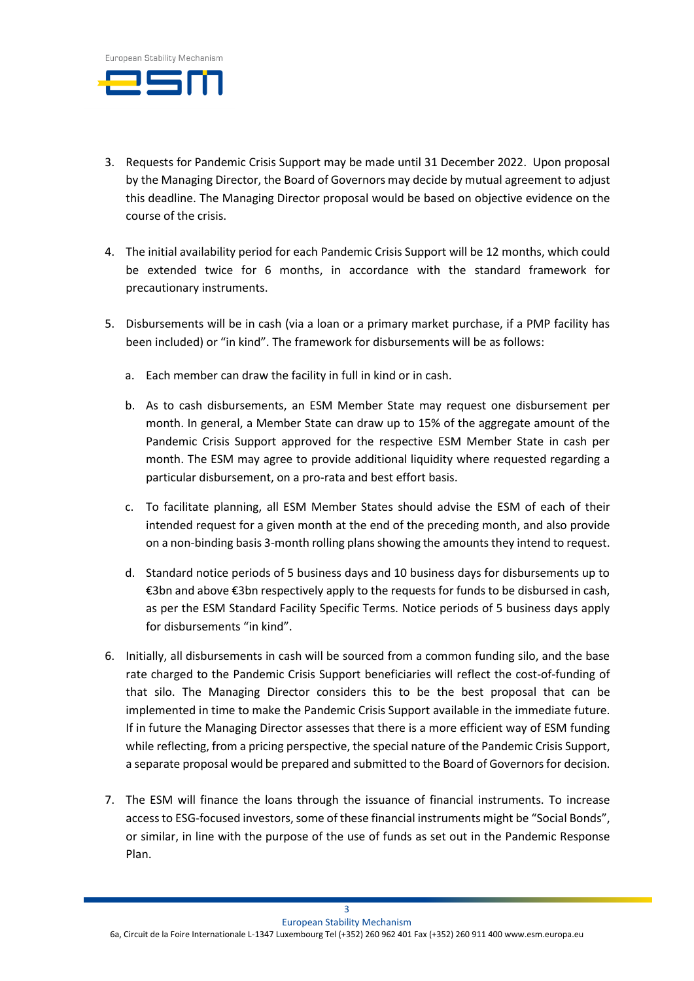

- 3. Requests for Pandemic Crisis Support may be made until 31 December 2022. Upon proposal by the Managing Director, the Board of Governors may decide by mutual agreement to adjust this deadline. The Managing Director proposal would be based on objective evidence on the course of the crisis.
- 4. The initial availability period for each Pandemic Crisis Support will be 12 months, which could be extended twice for 6 months, in accordance with the standard framework for precautionary instruments.
- 5. Disbursements will be in cash (via a loan or a primary market purchase, if a PMP facility has been included) or "in kind". The framework for disbursements will be as follows:
	- a. Each member can draw the facility in full in kind or in cash.
	- b. As to cash disbursements, an ESM Member State may request one disbursement per month. In general, a Member State can draw up to 15% of the aggregate amount of the Pandemic Crisis Support approved for the respective ESM Member State in cash per month. The ESM may agree to provide additional liquidity where requested regarding a particular disbursement, on a pro-rata and best effort basis.
	- c. To facilitate planning, all ESM Member States should advise the ESM of each of their intended request for a given month at the end of the preceding month, and also provide on a non-binding basis 3-month rolling plans showing the amounts they intend to request.
	- d. Standard notice periods of 5 business days and 10 business days for disbursements up to €3bn and above €3bn respectively apply to the requests for funds to be disbursed in cash, as per the ESM Standard Facility Specific Terms. Notice periods of 5 business days apply for disbursements "in kind".
- 6. Initially, all disbursements in cash will be sourced from a common funding silo, and the base rate charged to the Pandemic Crisis Support beneficiaries will reflect the cost-of-funding of that silo. The Managing Director considers this to be the best proposal that can be implemented in time to make the Pandemic Crisis Support available in the immediate future. If in future the Managing Director assesses that there is a more efficient way of ESM funding while reflecting, from a pricing perspective, the special nature of the Pandemic Crisis Support, a separate proposal would be prepared and submitted to the Board of Governors for decision.
- 7. The ESM will finance the loans through the issuance of financial instruments. To increase access to ESG-focused investors, some of these financial instruments might be "Social Bonds", or similar, in line with the purpose of the use of funds as set out in the Pandemic Response Plan.